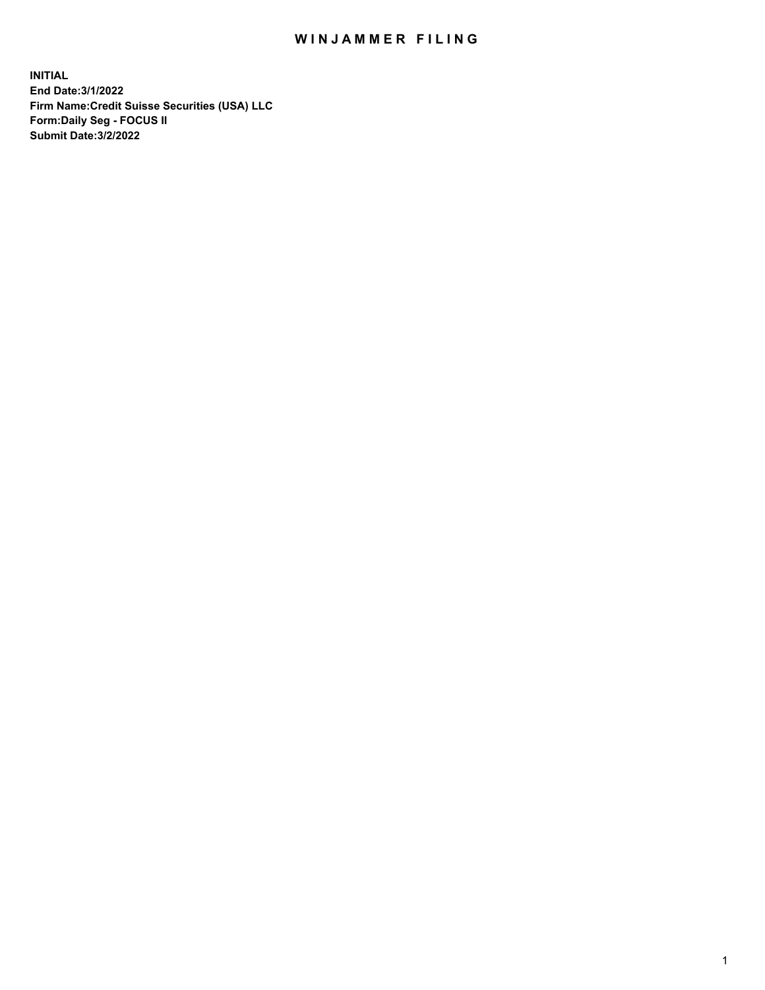## WIN JAMMER FILING

**INITIAL End Date:3/1/2022 Firm Name:Credit Suisse Securities (USA) LLC Form:Daily Seg - FOCUS II Submit Date:3/2/2022**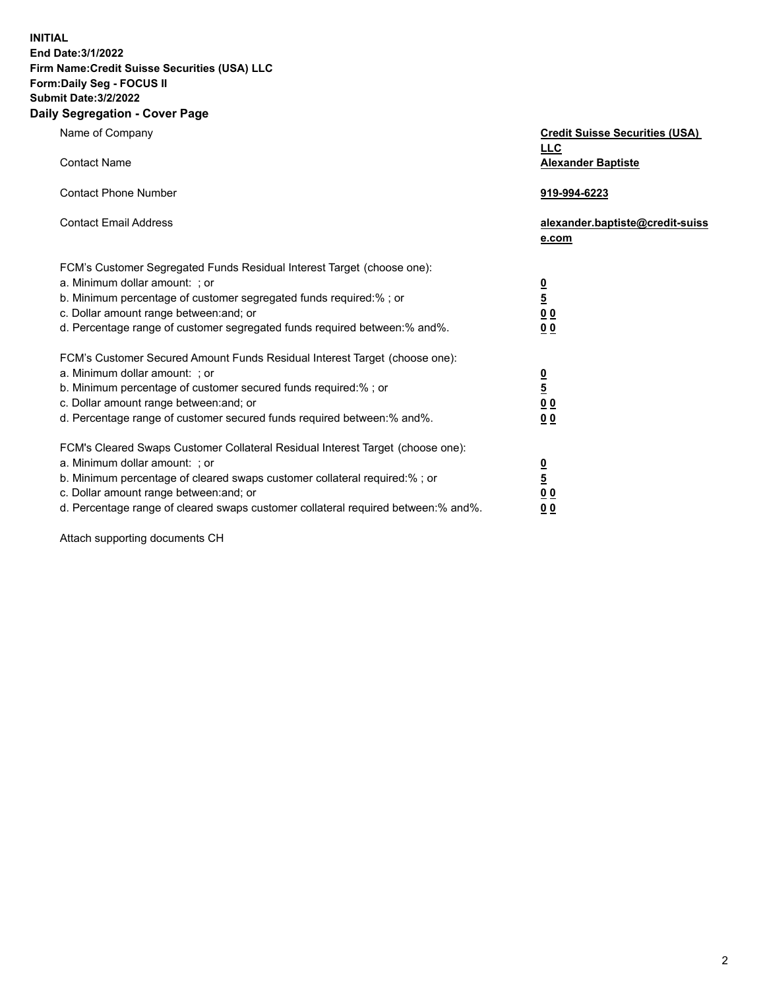**INITIAL** 

## **End Date:3/1/2022 Firm Name:Credit Suisse Securities (USA) LLC Form:Daily Seg - FOCUS II Submit Date:3/2/2022**

## **Daily Segregation - Cover Page**

| Name of Company                                                                   | <b>Credit Suisse Securities (USA)</b><br><b>LLC</b> |
|-----------------------------------------------------------------------------------|-----------------------------------------------------|
| <b>Contact Name</b>                                                               | <b>Alexander Baptiste</b>                           |
| <b>Contact Phone Number</b>                                                       | 919-994-6223                                        |
| <b>Contact Email Address</b>                                                      | alexander.baptiste@credit-suiss<br>e.com            |
| FCM's Customer Segregated Funds Residual Interest Target (choose one):            |                                                     |
| a. Minimum dollar amount: ; or                                                    |                                                     |
| b. Minimum percentage of customer segregated funds required:%; or                 |                                                     |
| c. Dollar amount range between: and; or                                           | $\frac{\frac{0}{5}}{\frac{0}{0}}$                   |
| d. Percentage range of customer segregated funds required between:% and%.         | 0 <sub>0</sub>                                      |
| FCM's Customer Secured Amount Funds Residual Interest Target (choose one):        |                                                     |
| a. Minimum dollar amount: ; or                                                    |                                                     |
| b. Minimum percentage of customer secured funds required:% ; or                   | $\frac{\frac{0}{5}}{\frac{0}{0}}$                   |
| c. Dollar amount range between: and; or                                           |                                                     |
| d. Percentage range of customer secured funds required between: % and %.          | 0 <sub>0</sub>                                      |
| FCM's Cleared Swaps Customer Collateral Residual Interest Target (choose one):    |                                                     |
| a. Minimum dollar amount: ; or                                                    |                                                     |
| b. Minimum percentage of cleared swaps customer collateral required:% ; or        | $\frac{0}{5}$                                       |
| c. Dollar amount range between: and; or                                           | 0 <sub>0</sub>                                      |
| d. Percentage range of cleared swaps customer collateral required between:% and%. | 0 <sub>0</sub>                                      |
|                                                                                   |                                                     |

Attach supporting documents CH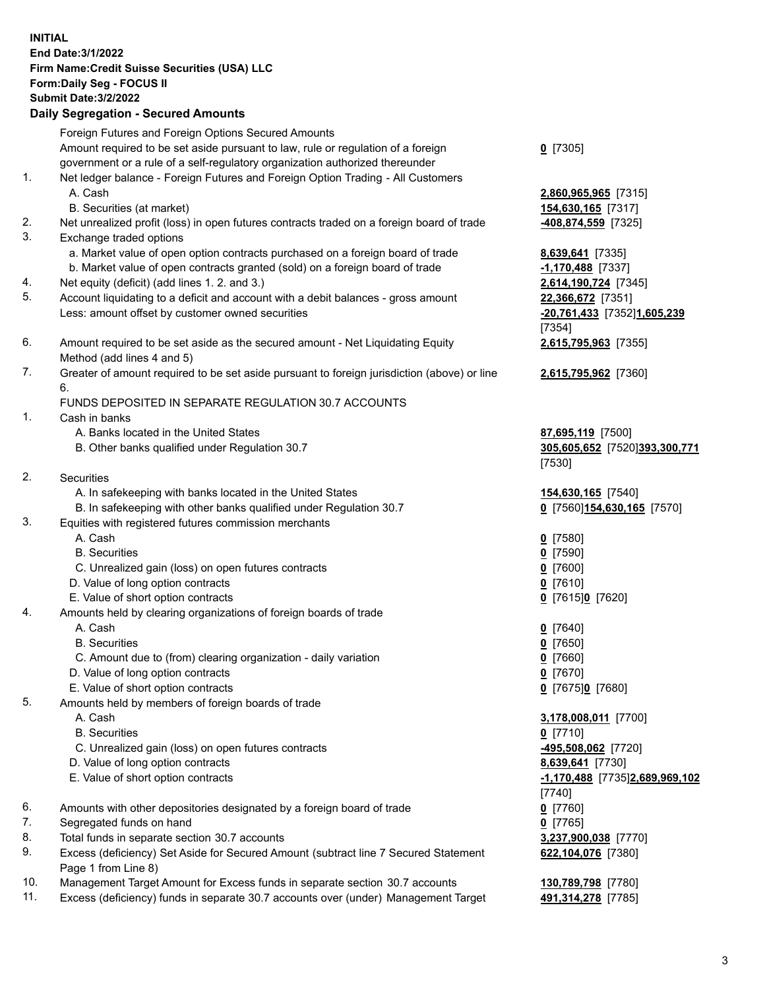## **INITIAL End Date:3/1/2022 Firm Name:Credit Suisse Securities (USA) LLC Form:Daily Seg - FOCUS II Submit Date:3/2/2022 Daily Segregation - Secured Amounts**

|          | Foreign Futures and Foreign Options Secured Amounts                                                        |                                          |
|----------|------------------------------------------------------------------------------------------------------------|------------------------------------------|
|          | Amount required to be set aside pursuant to law, rule or regulation of a foreign                           | $0$ [7305]                               |
|          | government or a rule of a self-regulatory organization authorized thereunder                               |                                          |
| 1.       | Net ledger balance - Foreign Futures and Foreign Option Trading - All Customers                            |                                          |
|          | A. Cash                                                                                                    | 2,860,965,965 [7315]                     |
|          | B. Securities (at market)                                                                                  | 154,630,165 [7317]                       |
| 2.       | Net unrealized profit (loss) in open futures contracts traded on a foreign board of trade                  | -408,874,559 [7325]                      |
| 3.       | Exchange traded options                                                                                    |                                          |
|          | a. Market value of open option contracts purchased on a foreign board of trade                             | 8,639,641 [7335]                         |
|          | b. Market value of open contracts granted (sold) on a foreign board of trade                               | -1,170,488 [7337]                        |
| 4.       | Net equity (deficit) (add lines 1. 2. and 3.)                                                              | 2,614,190,724 [7345]                     |
| 5.       | Account liquidating to a deficit and account with a debit balances - gross amount                          | 22,366,672 [7351]                        |
|          | Less: amount offset by customer owned securities                                                           | -20,761,433 [7352]1,605,239              |
|          |                                                                                                            | [7354]                                   |
| 6.       | Amount required to be set aside as the secured amount - Net Liquidating Equity                             | 2,615,795,963 [7355]                     |
|          | Method (add lines 4 and 5)                                                                                 |                                          |
| 7.       | Greater of amount required to be set aside pursuant to foreign jurisdiction (above) or line                | 2,615,795,962 [7360]                     |
|          | 6.                                                                                                         |                                          |
|          | FUNDS DEPOSITED IN SEPARATE REGULATION 30.7 ACCOUNTS                                                       |                                          |
| 1.       | Cash in banks                                                                                              |                                          |
|          | A. Banks located in the United States                                                                      | 87,695,119 [7500]                        |
|          | B. Other banks qualified under Regulation 30.7                                                             | 305,605,652 [7520]393,300,771            |
|          |                                                                                                            | [7530]                                   |
| 2.       | Securities                                                                                                 |                                          |
|          | A. In safekeeping with banks located in the United States                                                  | 154,630,165 [7540]                       |
|          | B. In safekeeping with other banks qualified under Regulation 30.7                                         | 0 [7560] 154, 630, 165 [7570]            |
| 3.       | Equities with registered futures commission merchants                                                      |                                          |
|          | A. Cash                                                                                                    | $0$ [7580]                               |
|          | <b>B.</b> Securities                                                                                       | $0$ [7590]                               |
|          | C. Unrealized gain (loss) on open futures contracts                                                        | $0$ [7600]                               |
|          | D. Value of long option contracts                                                                          | $0$ [7610]                               |
|          | E. Value of short option contracts                                                                         | 0 [7615]0 [7620]                         |
| 4.       | Amounts held by clearing organizations of foreign boards of trade                                          |                                          |
|          | A. Cash                                                                                                    | $0$ [7640]                               |
|          | <b>B.</b> Securities                                                                                       | $0$ [7650]                               |
|          | C. Amount due to (from) clearing organization - daily variation                                            | $0$ [7660]                               |
|          | D. Value of long option contracts                                                                          | $0$ [7670]                               |
|          | E. Value of short option contracts                                                                         | 0 [7675]0 [7680]                         |
| 5.       | Amounts held by members of foreign boards of trade                                                         |                                          |
|          | A. Cash                                                                                                    | 3,178,008,011 [7700]                     |
|          | <b>B.</b> Securities                                                                                       | $Q$ [7710]                               |
|          | C. Unrealized gain (loss) on open futures contracts                                                        | -495,508,062 [7720]                      |
|          | D. Value of long option contracts                                                                          | 8,639,641 [7730]                         |
|          | E. Value of short option contracts                                                                         | -1,170,488 [7735]2,689,969,102           |
|          |                                                                                                            | $[7740]$                                 |
| 6.       | Amounts with other depositories designated by a foreign board of trade                                     | $0$ [7760]                               |
| 7.       | Segregated funds on hand                                                                                   | $0$ [7765]                               |
| 8.<br>9. | Total funds in separate section 30.7 accounts                                                              | 3,237,900,038 [7770]                     |
|          | Excess (deficiency) Set Aside for Secured Amount (subtract line 7 Secured Statement<br>Page 1 from Line 8) | 622,104,076 [7380]                       |
| 10.      | Management Target Amount for Excess funds in separate section 30.7 accounts                                |                                          |
| 11.      | Excess (deficiency) funds in separate 30.7 accounts over (under) Management Target                         | 130,789,798 [7780]<br>491,314,278 [7785] |
|          |                                                                                                            |                                          |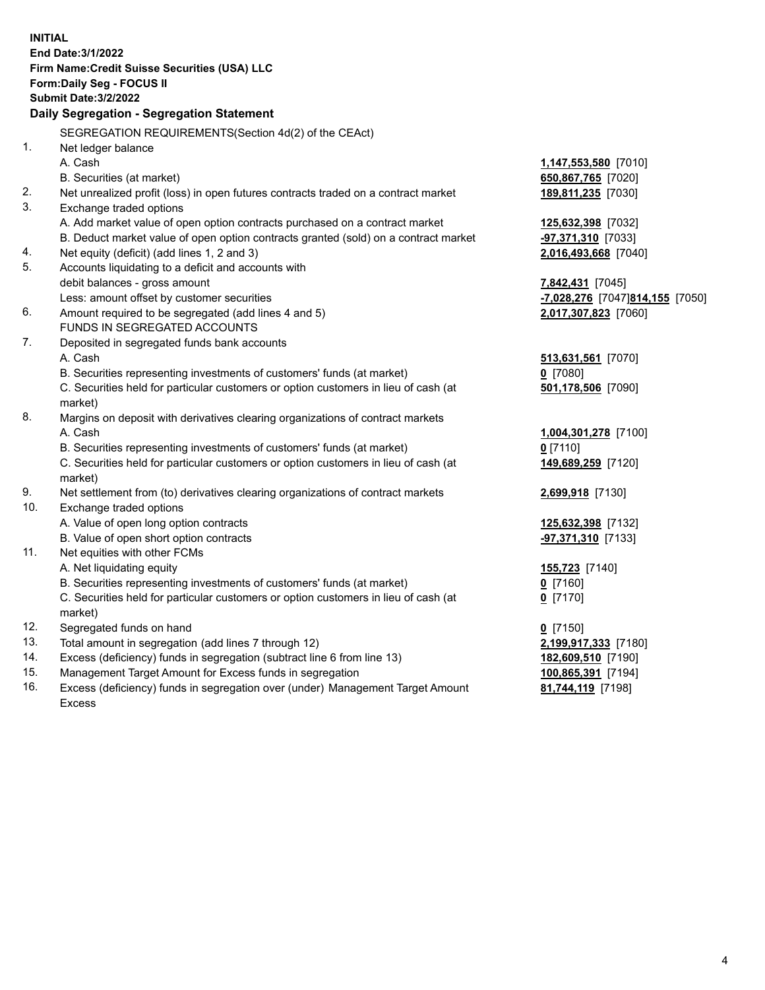|                | <b>INITIAL</b><br>End Date: 3/1/2022<br>Firm Name: Credit Suisse Securities (USA) LLC<br>Form: Daily Seg - FOCUS II<br><b>Submit Date: 3/2/2022</b><br>Daily Segregation - Segregation Statement |                                 |
|----------------|--------------------------------------------------------------------------------------------------------------------------------------------------------------------------------------------------|---------------------------------|
|                | SEGREGATION REQUIREMENTS(Section 4d(2) of the CEAct)                                                                                                                                             |                                 |
| 1 <sub>1</sub> | Net ledger balance                                                                                                                                                                               |                                 |
|                | A. Cash                                                                                                                                                                                          | 1,147,553,580 [7010]            |
|                | B. Securities (at market)                                                                                                                                                                        | 650,867,765 [7020]              |
| 2.             | Net unrealized profit (loss) in open futures contracts traded on a contract market                                                                                                               | 189,811,235 [7030]              |
| 3.             | Exchange traded options                                                                                                                                                                          |                                 |
|                | A. Add market value of open option contracts purchased on a contract market                                                                                                                      | 125,632,398 [7032]              |
|                | B. Deduct market value of open option contracts granted (sold) on a contract market                                                                                                              | -97,371,310 [7033]              |
| 4.             | Net equity (deficit) (add lines 1, 2 and 3)                                                                                                                                                      | 2,016,493,668 [7040]            |
| 5.             | Accounts liquidating to a deficit and accounts with                                                                                                                                              |                                 |
|                | debit balances - gross amount                                                                                                                                                                    | 7,842,431 [7045]                |
|                | Less: amount offset by customer securities                                                                                                                                                       | -7,028,276 [7047]814,155 [7050] |
| 6.             | Amount required to be segregated (add lines 4 and 5)                                                                                                                                             | 2,017,307,823 [7060]            |
|                | FUNDS IN SEGREGATED ACCOUNTS                                                                                                                                                                     |                                 |
| 7.             | Deposited in segregated funds bank accounts                                                                                                                                                      |                                 |
|                | A. Cash                                                                                                                                                                                          | 513,631,561 [7070]              |
|                | B. Securities representing investments of customers' funds (at market)                                                                                                                           | $0$ [7080]                      |
|                | C. Securities held for particular customers or option customers in lieu of cash (at<br>market)                                                                                                   | 501,178,506 [7090]              |
| 8.             | Margins on deposit with derivatives clearing organizations of contract markets                                                                                                                   |                                 |
|                | A. Cash                                                                                                                                                                                          | 1,004,301,278 [7100]            |
|                | B. Securities representing investments of customers' funds (at market)                                                                                                                           | 0 [7110]                        |
|                | C. Securities held for particular customers or option customers in lieu of cash (at                                                                                                              | 149,689,259 [7120]              |
|                | market)                                                                                                                                                                                          |                                 |
| 9.             | Net settlement from (to) derivatives clearing organizations of contract markets                                                                                                                  | 2,699,918 [7130]                |
| 10.            | Exchange traded options                                                                                                                                                                          |                                 |
|                | A. Value of open long option contracts                                                                                                                                                           | 125,632,398 [7132]              |
|                | B. Value of open short option contracts                                                                                                                                                          | -97,371,310 [7133]              |
| 11.            | Net equities with other FCMs                                                                                                                                                                     |                                 |
|                | A. Net liquidating equity                                                                                                                                                                        | 155,723 [7140]                  |
|                | B. Securities representing investments of customers' funds (at market)                                                                                                                           | $Q$ [7160]                      |
|                | C. Securities held for particular customers or option customers in lieu of cash (at<br>market)                                                                                                   | $0$ [7170]                      |
| 12.            | Segregated funds on hand                                                                                                                                                                         | $0$ [7150]                      |
| 13.            | Total amount in segregation (add lines 7 through 12)                                                                                                                                             | 2,199,917,333 [7180]            |
| 14.            | Excess (deficiency) funds in segregation (subtract line 6 from line 13)                                                                                                                          | 182,609,510 [7190]              |
| 15.            | Management Target Amount for Excess funds in segregation                                                                                                                                         | 100,865,391 [7194]              |
| 16.            | Excess (deficiency) funds in segregation over (under) Management Target Amount<br><b>Excess</b>                                                                                                  | 81,744,119 [7198]               |